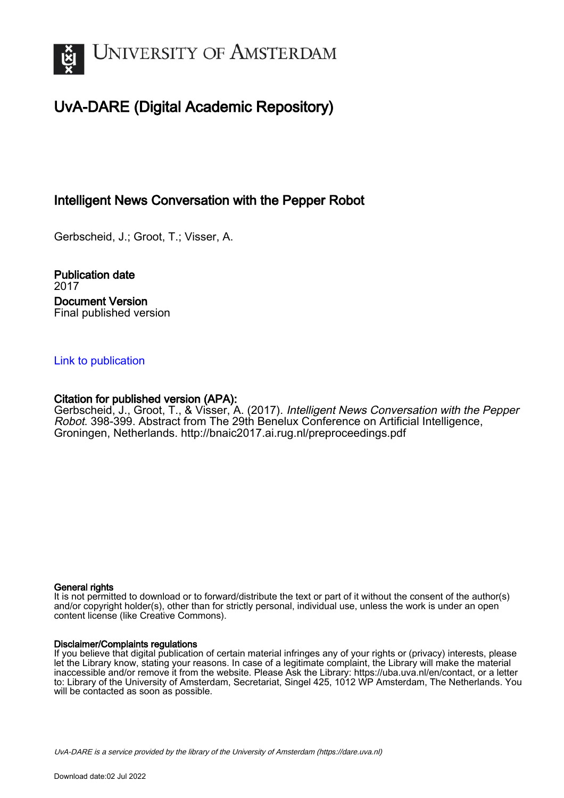

## UvA-DARE (Digital Academic Repository)

## Intelligent News Conversation with the Pepper Robot

Gerbscheid, J.; Groot, T.; Visser, A.

Publication date 2017 Document Version Final published version

## [Link to publication](https://dare.uva.nl/personal/pure/en/publications/intelligent-news-conversation-with-the-pepper-robot(a4db3c31-2823-4ed7-a401-37ffca81060f).html)

## Citation for published version (APA):

Gerbscheid, J., Groot, T., & Visser, A. (2017). Intelligent News Conversation with the Pepper Robot. 398-399. Abstract from The 29th Benelux Conference on Artificial Intelligence, Groningen, Netherlands. <http://bnaic2017.ai.rug.nl/preproceedings.pdf>

## General rights

It is not permitted to download or to forward/distribute the text or part of it without the consent of the author(s) and/or copyright holder(s), other than for strictly personal, individual use, unless the work is under an open content license (like Creative Commons).

## Disclaimer/Complaints regulations

If you believe that digital publication of certain material infringes any of your rights or (privacy) interests, please let the Library know, stating your reasons. In case of a legitimate complaint, the Library will make the material inaccessible and/or remove it from the website. Please Ask the Library: https://uba.uva.nl/en/contact, or a letter to: Library of the University of Amsterdam, Secretariat, Singel 425, 1012 WP Amsterdam, The Netherlands. You will be contacted as soon as possible.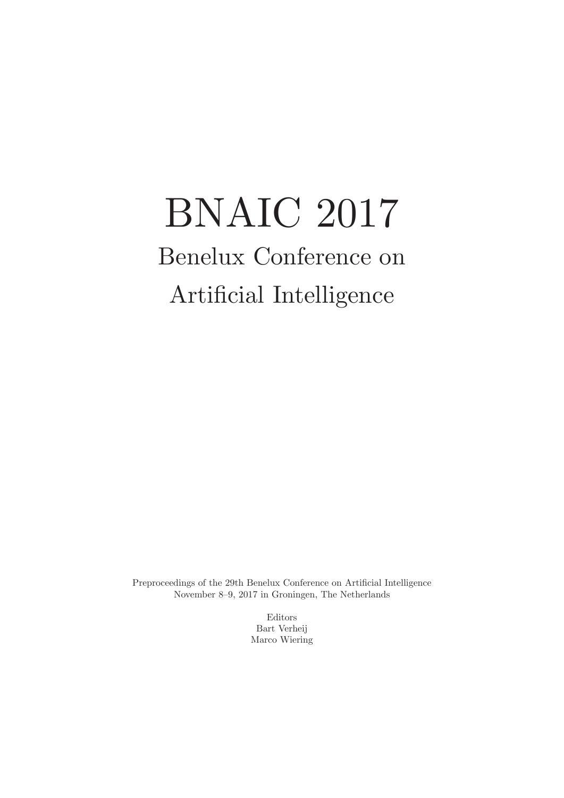# BNAIC 2017 Benelux Conference on Artifcial Intelligence

Preproceedings of the 29th Benelux Conference on Artifcial Intelligence November 8–9, 2017 in Groningen, The Netherlands

> Editors Bart Verheij Marco Wiering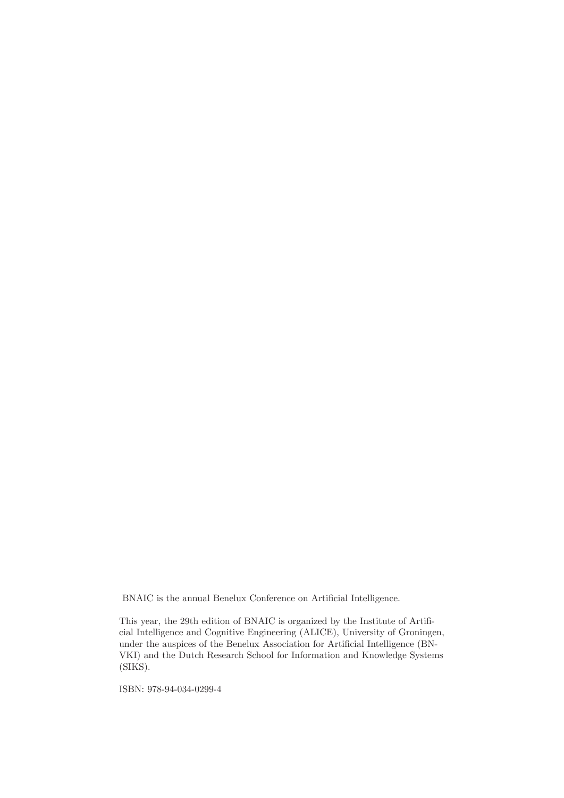BNAIC is the annual Benelux Conference on Artifcial Intelligence.

This year, the 29th edition of BNAIC is organized by the Institute of Artifcial Intelligence and Cognitive Engineering (ALICE), University of Groningen, under the auspices of the Benelux Association for Artifcial Intelligence (BN-VKI) and the Dutch Research School for Information and Knowledge Systems (SIKS).

ISBN: 978-94-034-0299-4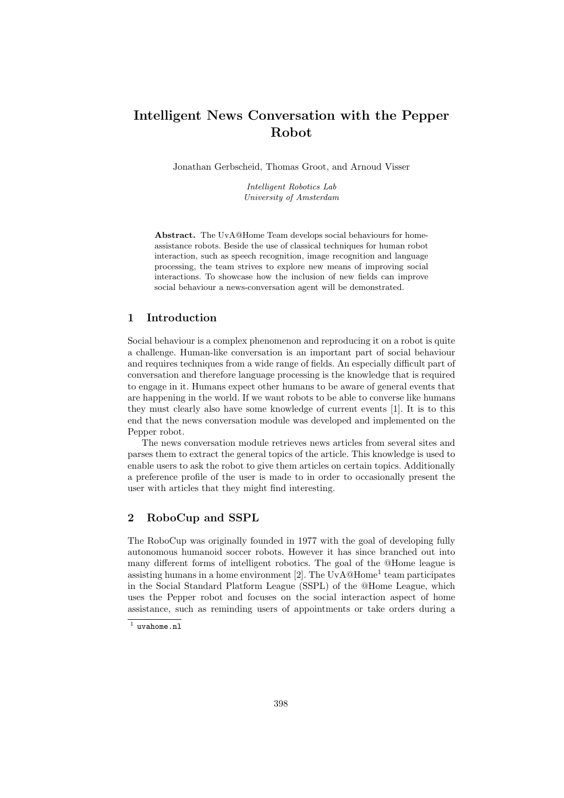## Intelligent News Conversation with the Pepper Robot

Jonathan Gerbscheid, Thomas Groot, and Arnoud Visser

Intelligent Robotics Lab University of Amsterdam

Abstract. The UvA@Home Team develops social behaviours for homeassistance robots. Beside the use of classical techniques for human robot interaction, such as speech recognition, image recognition and language processing, the team strives to explore new means of improving social interactions. To showcase how the inclusion of new fields can improve social behaviour a news-conversation agent will be demonstrated.

## 1 Introduction

Social behaviour is a complex phenomenon and reproducing it on a robot is quite a challenge. Human-like conversation is an important part of social behaviour and requires techniques from a wide range of fields. An especially difficult part of conversation and therefore language processing is the knowledge that is required to engage in it. Humans expect other humans to be aware of general events that are happening in the world. If we want robots to be able to converse like humans they must clearly also have some knowledge of current events [1]. It is to this end that the news conversation module was developed and implemented on the Pepper robot.

The news conversation module retrieves news articles from several sites and parses them to extract the general topics of the article. This knowledge is used to enable users to ask the robot to give them articles on certain topics. Additionally a preference profile of the user is made to in order to occasionally present the user with articles that they might find interesting.

## 2 RoboCup and SSPL

The RoboCup was originally founded in 1977 with the goal of developing fully autonomous humanoid soccer robots. However it has since branched out into many different forms of intelligent robotics. The goal of the @Home league is assisting humans in a home environment [2]. The  $UvA@Home<sup>1</sup>$  team participates in the Social Standard Platform League (SSPL) of the @Home League, which uses the Pepper robot and focuses on the social interaction aspect of home assistance, such as reminding users of appointments or take orders during a

 $<sup>1</sup>$  uvahome.nl</sup>